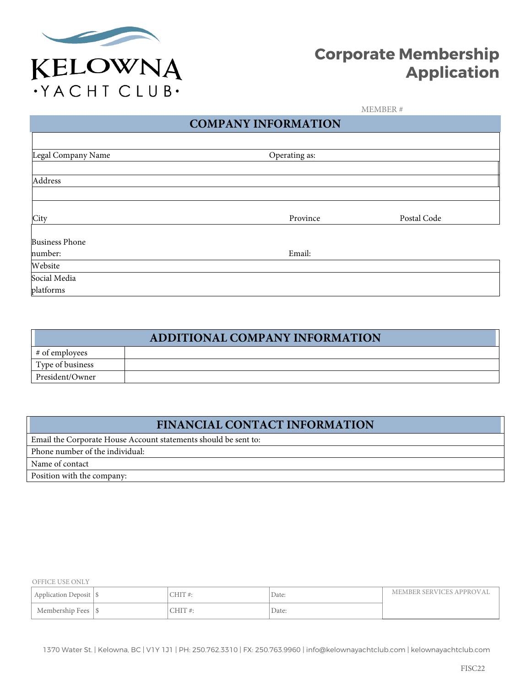

# **Corporate Membership Application**

MEMBER #

# **COMPANY INFORMATION**

| Legal Company Name    | Operating as: |             |  |
|-----------------------|---------------|-------------|--|
|                       |               |             |  |
| Address               |               |             |  |
|                       |               |             |  |
| City                  | Province      | Postal Code |  |
| <b>Business Phone</b> |               |             |  |
| number:               | Email:        |             |  |
| Website               |               |             |  |
| Social Media          |               |             |  |
| platforms             |               |             |  |

|                  | ADDITIONAL COMPANY INFORMATION |
|------------------|--------------------------------|
| # of employees   |                                |
| Type of business |                                |
| President/Owner  |                                |

# **FINANCIAL CONTACT INFORMATION**

Email the Corporate House Account statements should be sent to: Phone number of the individual: Name of contact Position with the company:

OFFICE USE ONLY

| Application Deposit | uhi | Date: | MEMBER SERVICES APPROVAL |
|---------------------|-----|-------|--------------------------|
| Membership Fees     |     | Date: |                          |

1370 Water St. | Kelowna, BC | V1Y 1J1 | PH: 250.762.3310 | FX: 250.763.9960 | info@kelownayachtclub.com | kelownayachtclub.com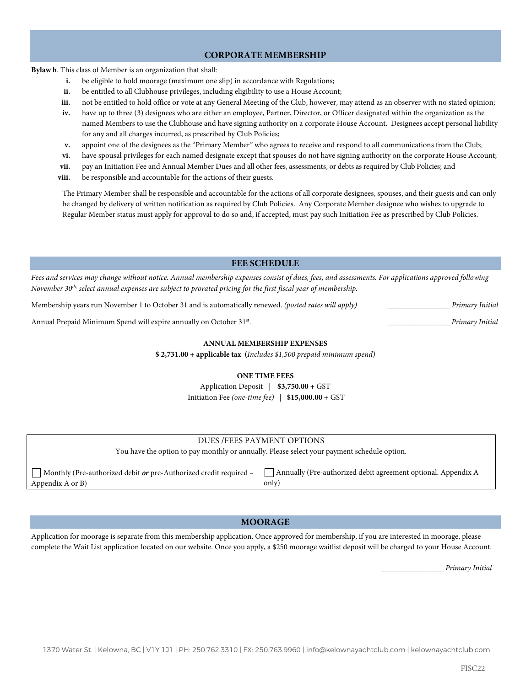### **CORPORATE MEMBERSHIP**

**Bylaw h**. This class of Member is an organization that shall:

- **i.** be eligible to hold moorage (maximum one slip) in accordance with Regulations;
- ii. be entitled to all Clubhouse privileges, including eligibility to use a House Account;
- **iii.** not be entitled to hold office or vote at any General Meeting of the Club, however, may attend as an observer with no stated opinion;
- **iv.** have up to three (3) designees who are either an employee, Partner, Director, or Officer designated within the organization as the named Members to use the Clubhouse and have signing authority on a corporate House Account. Designees accept personal liability for any and all charges incurred, as prescribed by Club Policies;
- **v.** appoint one of the designees as the "Primary Member" who agrees to receive and respond to all communications from the Club;
- **vi.** have spousal privileges for each named designate except that spouses do not have signing authority on the corporate House Account;
- **vii.** pay an Initiation Fee and Annual Member Dues and all other fees, assessments, or debts as required by Club Policies; and
- **viii.** be responsible and accountable for the actions of their guests.

The Primary Member shall be responsible and accountable for the actions of all corporate designees, spouses, and their guests and can only be changed by delivery of written notification as required by Club Policies. Any Corporate Member designee who wishes to upgrade to Regular Member status must apply for approval to do so and, if accepted, must pay such Initiation Fee as prescribed by Club Policies.

#### **FEE SCHEDULE**

*Fees and services may change without notice. Annual membership expenses consist of dues, fees, and assessments. For applications approved following November 30th, select annual expenses are subject to prorated pricing for the first fiscal year of membership.*

Membership years run November 1 to October 31 and is automatically renewed. *(posted rates will apply)* **\_\_\_\_\_\_\_\_\_\_\_\_\_\_\_\_** *Primary Initial*

Annual Prepaid Minimum Spend will expire annually on October 31st. **\_\_\_\_\_\_\_\_\_\_\_\_\_\_\_\_** *Primary Initial*

#### **ANNUAL MEMBERSHIP EXPENSES**

**\$ 2,731.00 + applicable tax (***Includes \$1,500 prepaid minimum spend)*

#### **ONE TIME FEES**

Application Deposit | **\$3,750.00** + GST Initiation Fee *(one-time fee)* | **\$15,000.00** + GST

| DUES/FEES PAYMENT OPTIONS                                                                   |                                                               |  |  |
|---------------------------------------------------------------------------------------------|---------------------------------------------------------------|--|--|
| You have the option to pay monthly or annually. Please select your payment schedule option. |                                                               |  |  |
|                                                                                             |                                                               |  |  |
| $\vert$ Monthly (Pre-authorized debit <i>or</i> pre-Authorized credit required –            | Annually (Pre-authorized debit agreement optional. Appendix A |  |  |
| Appendix A or B)                                                                            | only)                                                         |  |  |

#### **MOORAGE**

Application for moorage is separate from this membership application. Once approved for membership, if you are interested in moorage, please complete the Wait List application located on our website. Once you apply, a \$250 moorage waitlist deposit will be charged to your House Account.

 **\_\_\_\_\_\_\_\_\_\_\_\_\_\_\_\_** *Primary Initial*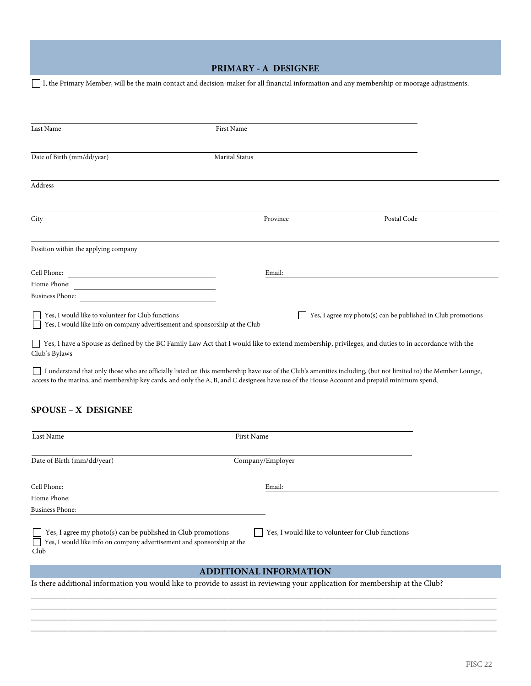## **PRIMARY - A DESIGNEE**

I, the Primary Member, will be the main contact and decision-maker for all financial information and any membership or moorage adjustments.

| Last Name                                                                                                                                                            | First Name            |          |                                                              |  |
|----------------------------------------------------------------------------------------------------------------------------------------------------------------------|-----------------------|----------|--------------------------------------------------------------|--|
| Date of Birth (mm/dd/year)                                                                                                                                           | <b>Marital Status</b> |          |                                                              |  |
| Address                                                                                                                                                              |                       |          |                                                              |  |
| City                                                                                                                                                                 |                       | Province | Postal Code                                                  |  |
| Position within the applying company                                                                                                                                 |                       |          |                                                              |  |
|                                                                                                                                                                      |                       | Email:   |                                                              |  |
| Home Phone:<br><u> 1980 - Johann Barn, mars ann an t-Amhain an t-Amhain an t-Amhain an t-Amhain an t-Amhain an t-Amhain an t-Amh</u>                                 |                       |          |                                                              |  |
| <b>Business Phone:</b>                                                                                                                                               |                       |          |                                                              |  |
| Yes, I would like to volunteer for Club functions<br>Yes, I would like info on company advertisement and sponsorship at the Club                                     |                       |          | Yes, I agree my photo(s) can be published in Club promotions |  |
| □ Yes, I have a Spouse as defined by the BC Family Law Act that I would like to extend membership, privileges, and duties to in accordance with the<br>Club's Bylaws |                       |          |                                                              |  |
|                                                                                                                                                                      |                       |          |                                                              |  |

 I understand that only those who are officially listed on this membership have use of the Club's amenities including, (but not limited to) the Member Lounge, access to the marina, and membership key cards, and only the A, B, and C designees have use of the House Account and prepaid minimum spend,

## **SPOUSE – X DESIGNEE**

| Last Name                                                                                                                                                 | <b>First Name</b>                                 |  |
|-----------------------------------------------------------------------------------------------------------------------------------------------------------|---------------------------------------------------|--|
| Date of Birth (mm/dd/year)                                                                                                                                | Company/Employer                                  |  |
| Cell Phone:                                                                                                                                               | Email:                                            |  |
| Home Phone:                                                                                                                                               |                                                   |  |
| <b>Business Phone:</b>                                                                                                                                    |                                                   |  |
| Yes, I agree my photo(s) can be published in Club promotions<br>Yes, I would like info on company advertisement and sponsorship at the<br>$\perp$<br>Club | Yes, I would like to volunteer for Club functions |  |
|                                                                                                                                                           | <b>ADDITIONAL INFORMATION</b>                     |  |
| Is there additional information you would like to provide to assist in reviewing your application for membership at the Club?                             |                                                   |  |

\_\_\_\_\_\_\_\_\_\_\_\_\_\_\_\_\_\_\_\_\_\_\_\_\_\_\_\_\_\_\_\_\_\_\_\_\_\_\_\_\_\_\_\_\_\_\_\_\_\_\_\_\_\_\_\_\_\_\_\_\_\_\_\_\_\_\_\_\_\_\_\_\_\_\_\_\_\_\_\_\_\_\_\_\_\_\_\_\_\_\_\_\_\_\_\_\_\_\_\_\_\_\_\_\_\_\_\_\_\_\_\_\_ \_\_\_\_\_\_\_\_\_\_\_\_\_\_\_\_\_\_\_\_\_\_\_\_\_\_\_\_\_\_\_\_\_\_\_\_\_\_\_\_\_\_\_\_\_\_\_\_\_\_\_\_\_\_\_\_\_\_\_\_\_\_\_\_\_\_\_\_\_\_\_\_\_\_\_\_\_\_\_\_\_\_\_\_\_\_\_\_\_\_\_\_\_\_\_\_\_\_\_\_\_\_\_\_\_\_\_\_\_\_\_\_\_ \_\_\_\_\_\_\_\_\_\_\_\_\_\_\_\_\_\_\_\_\_\_\_\_\_\_\_\_\_\_\_\_\_\_\_\_\_\_\_\_\_\_\_\_\_\_\_\_\_\_\_\_\_\_\_\_\_\_\_\_\_\_\_\_\_\_\_\_\_\_\_\_\_\_\_\_\_\_\_\_\_\_\_\_\_\_\_\_\_\_\_\_\_\_\_\_\_\_\_\_\_\_\_\_\_\_\_\_\_\_\_\_\_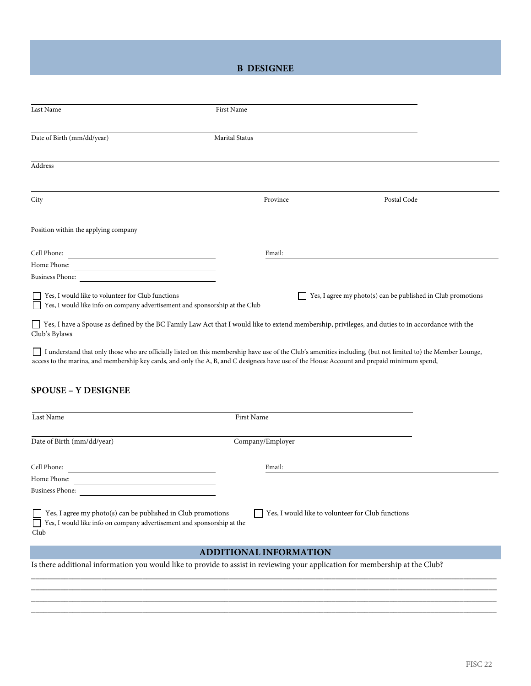## **B DESIGNEE**

| Last Name                                                                                                                                                                                                                                                                                                    | First Name     |                                                                |  |
|--------------------------------------------------------------------------------------------------------------------------------------------------------------------------------------------------------------------------------------------------------------------------------------------------------------|----------------|----------------------------------------------------------------|--|
| Date of Birth (mm/dd/year)                                                                                                                                                                                                                                                                                   | Marital Status |                                                                |  |
| Address                                                                                                                                                                                                                                                                                                      |                |                                                                |  |
| City                                                                                                                                                                                                                                                                                                         | Province       | Postal Code                                                    |  |
| Position within the applying company                                                                                                                                                                                                                                                                         |                |                                                                |  |
| Cell Phone:<br><u> 1989 - Andrea State Barbara, amerikan per</u><br>Home Phone:<br><b>Business Phone:</b>                                                                                                                                                                                                    | Email:         |                                                                |  |
| Yes, I would like to volunteer for Club functions<br>Yes, I would like info on company advertisement and sponsorship at the Club                                                                                                                                                                             |                | Yes, I agree my $photo(s)$ can be published in Club promotions |  |
| □ Yes, I have a Spouse as defined by the BC Family Law Act that I would like to extend membership, privileges, and duties to in accordance with the<br>Club's Bylaws                                                                                                                                         |                |                                                                |  |
| I understand that only those who are officially listed on this membership have use of the Club's amenities including, (but not limited to) the Member Lounge,<br>access to the marina, and membership key cards, and only the A, B, and C designees have use of the House Account and prepaid minimum spend, |                |                                                                |  |
| <b>SPOUSE – Y DESIGNEE</b>                                                                                                                                                                                                                                                                                   |                |                                                                |  |

| Last Name                                                                                                                                      | <b>First Name</b>                                 |
|------------------------------------------------------------------------------------------------------------------------------------------------|---------------------------------------------------|
| Date of Birth (mm/dd/year)                                                                                                                     | Company/Employer                                  |
| Cell Phone:<br>Home Phone:                                                                                                                     | Email:                                            |
| <b>Business Phone:</b>                                                                                                                         |                                                   |
| Yes, I agree my photo(s) can be published in Club promotions<br>Yes, I would like info on company advertisement and sponsorship at the<br>Club | Yes, I would like to volunteer for Club functions |
|                                                                                                                                                |                                                   |

### **ADDITIONAL INFORMATION**

\_\_\_\_\_\_\_\_\_\_\_\_\_\_\_\_\_\_\_\_\_\_\_\_\_\_\_\_\_\_\_\_\_\_\_\_\_\_\_\_\_\_\_\_\_\_\_\_\_\_\_\_\_\_\_\_\_\_\_\_\_\_\_\_\_\_\_\_\_\_\_\_\_\_\_\_\_\_\_\_\_\_\_\_\_\_\_\_\_\_\_\_\_\_\_\_\_\_\_\_\_\_\_\_\_\_\_\_\_\_\_\_\_ \_\_\_\_\_\_\_\_\_\_\_\_\_\_\_\_\_\_\_\_\_\_\_\_\_\_\_\_\_\_\_\_\_\_\_\_\_\_\_\_\_\_\_\_\_\_\_\_\_\_\_\_\_\_\_\_\_\_\_\_\_\_\_\_\_\_\_\_\_\_\_\_\_\_\_\_\_\_\_\_\_\_\_\_\_\_\_\_\_\_\_\_\_\_\_\_\_\_\_\_\_\_\_\_\_\_\_\_\_\_\_\_\_ \_\_\_\_\_\_\_\_\_\_\_\_\_\_\_\_\_\_\_\_\_\_\_\_\_\_\_\_\_\_\_\_\_\_\_\_\_\_\_\_\_\_\_\_\_\_\_\_\_\_\_\_\_\_\_\_\_\_\_\_\_\_\_\_\_\_\_\_\_\_\_\_\_\_\_\_\_\_\_\_\_\_\_\_\_\_\_\_\_\_\_\_\_\_\_\_\_\_\_\_\_\_\_\_\_\_\_\_\_\_\_\_\_ \_\_\_\_\_\_\_\_\_\_\_\_\_\_\_\_\_\_\_\_\_\_\_\_\_\_\_\_\_\_\_\_\_\_\_\_\_\_\_\_\_\_\_\_\_\_\_\_\_\_\_\_\_\_\_\_\_\_\_\_\_\_\_\_\_\_\_\_\_\_\_\_\_\_\_\_\_\_\_\_\_\_\_\_\_\_\_\_\_\_\_\_\_\_\_\_\_\_\_\_\_\_\_\_\_\_\_\_\_\_\_\_\_

Is there additional information you would like to provide to assist in reviewing your application for membership at the Club?

I.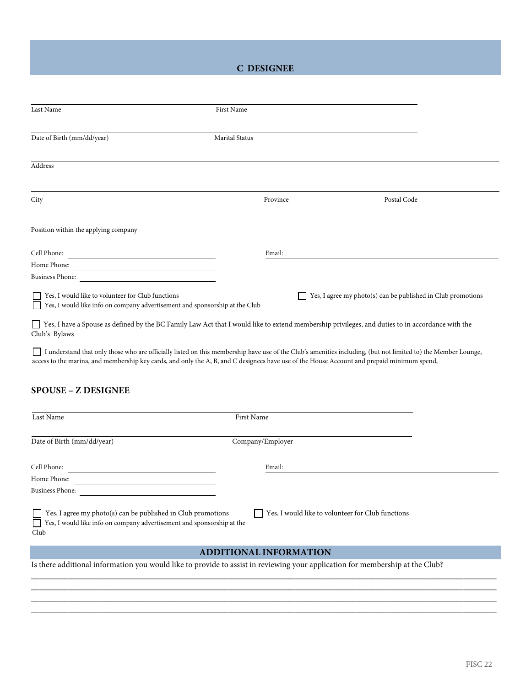## **C DESIGNEE**

| Last Name                                                                                                                                                                                                                                                                                                    | <b>First Name</b>     |                                                              |             |  |
|--------------------------------------------------------------------------------------------------------------------------------------------------------------------------------------------------------------------------------------------------------------------------------------------------------------|-----------------------|--------------------------------------------------------------|-------------|--|
| Date of Birth (mm/dd/year)                                                                                                                                                                                                                                                                                   | <b>Marital Status</b> |                                                              |             |  |
| Address                                                                                                                                                                                                                                                                                                      |                       |                                                              |             |  |
| City                                                                                                                                                                                                                                                                                                         | Province              |                                                              | Postal Code |  |
| Position within the applying company                                                                                                                                                                                                                                                                         |                       |                                                              |             |  |
| Cell Phone:                                                                                                                                                                                                                                                                                                  | Email:                |                                                              |             |  |
|                                                                                                                                                                                                                                                                                                              |                       |                                                              |             |  |
| Business Phone:                                                                                                                                                                                                                                                                                              |                       |                                                              |             |  |
| Yes, I would like to volunteer for Club functions<br>Yes, I would like info on company advertisement and sponsorship at the Club                                                                                                                                                                             |                       | Yes, I agree my photo(s) can be published in Club promotions |             |  |
| □ Yes, I have a Spouse as defined by the BC Family Law Act that I would like to extend membership privileges, and duties to in accordance with the<br>Club's Bylaws                                                                                                                                          |                       |                                                              |             |  |
| I understand that only those who are officially listed on this membership have use of the Club's amenities including, (but not limited to) the Member Lounge,<br>access to the marina, and membership key cards, and only the A, B, and C designees have use of the House Account and prepaid minimum spend, |                       |                                                              |             |  |
| <b>SPOUSE - Z DESIGNEE</b>                                                                                                                                                                                                                                                                                   |                       |                                                              |             |  |

| Last Name                                                                                                                                                                                           | First Name       |  |  |
|-----------------------------------------------------------------------------------------------------------------------------------------------------------------------------------------------------|------------------|--|--|
| Date of Birth (mm/dd/year)                                                                                                                                                                          | Company/Employer |  |  |
| Cell Phone:                                                                                                                                                                                         | Email:           |  |  |
| Home Phone:                                                                                                                                                                                         |                  |  |  |
| <b>Business Phone:</b>                                                                                                                                                                              |                  |  |  |
| Yes, I would like to volunteer for Club functions<br>Yes, I agree my photo(s) can be published in Club promotions<br>Yes, I would like info on company advertisement and sponsorship at the<br>Club |                  |  |  |
| <b>ADDITIONAL INFORMATION</b>                                                                                                                                                                       |                  |  |  |

\_\_\_\_\_\_\_\_\_\_\_\_\_\_\_\_\_\_\_\_\_\_\_\_\_\_\_\_\_\_\_\_\_\_\_\_\_\_\_\_\_\_\_\_\_\_\_\_\_\_\_\_\_\_\_\_\_\_\_\_\_\_\_\_\_\_\_\_\_\_\_\_\_\_\_\_\_\_\_\_\_\_\_\_\_\_\_\_\_\_\_\_\_\_\_\_\_\_\_\_\_\_\_\_\_\_\_\_\_\_\_\_\_ \_\_\_\_\_\_\_\_\_\_\_\_\_\_\_\_\_\_\_\_\_\_\_\_\_\_\_\_\_\_\_\_\_\_\_\_\_\_\_\_\_\_\_\_\_\_\_\_\_\_\_\_\_\_\_\_\_\_\_\_\_\_\_\_\_\_\_\_\_\_\_\_\_\_\_\_\_\_\_\_\_\_\_\_\_\_\_\_\_\_\_\_\_\_\_\_\_\_\_\_\_\_\_\_\_\_\_\_\_\_\_\_\_ \_\_\_\_\_\_\_\_\_\_\_\_\_\_\_\_\_\_\_\_\_\_\_\_\_\_\_\_\_\_\_\_\_\_\_\_\_\_\_\_\_\_\_\_\_\_\_\_\_\_\_\_\_\_\_\_\_\_\_\_\_\_\_\_\_\_\_\_\_\_\_\_\_\_\_\_\_\_\_\_\_\_\_\_\_\_\_\_\_\_\_\_\_\_\_\_\_\_\_\_\_\_\_\_\_\_\_\_\_\_\_\_\_ \_\_\_\_\_\_\_\_\_\_\_\_\_\_\_\_\_\_\_\_\_\_\_\_\_\_\_\_\_\_\_\_\_\_\_\_\_\_\_\_\_\_\_\_\_\_\_\_\_\_\_\_\_\_\_\_\_\_\_\_\_\_\_\_\_\_\_\_\_\_\_\_\_\_\_\_\_\_\_\_\_\_\_\_\_\_\_\_\_\_\_\_\_\_\_\_\_\_\_\_\_\_\_\_\_\_\_\_\_\_\_\_\_

#### Is there additional information you would like to provide to assist in reviewing your application for membership at the Club?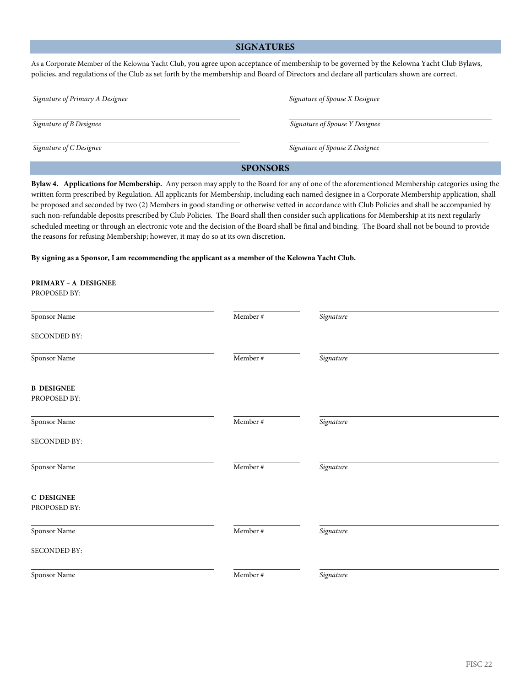### **SIGNATURES**

As a Corporate Member of the Kelowna Yacht Club, you agree upon acceptance of membership to be governed by the Kelowna Yacht Club Bylaws, policies, and regulations of the Club as set forth by the membership and Board of Directors and declare all particulars shown are correct.

| Signature of Primary A Designee | Signature of Spouse X Designee |  |
|---------------------------------|--------------------------------|--|
| Signature of B Designee         | Signature of Spouse Y Designee |  |
| Signature of C Designee         | Signature of Spouse Z Designee |  |

### **SPONSORS**

**Bylaw 4. Applications for Membership.** Any person may apply to the Board for any of one of the aforementioned Membership categories using the written form prescribed by Regulation. All applicants for Membership, including each named designee in a Corporate Membership application, shall be proposed and seconded by two (2) Members in good standing or otherwise vetted in accordance with Club Policies and shall be accompanied by such non-refundable deposits prescribed by Club Policies. The Board shall then consider such applications for Membership at its next regularly scheduled meeting or through an electronic vote and the decision of the Board shall be final and binding. The Board shall not be bound to provide the reasons for refusing Membership; however, it may do so at its own discretion.

**By signing as a Sponsor, I am recommending the applicant as a member of the Kelowna Yacht Club.**

| PRIMARY - A DESIGNEE<br>PROPOSED BY: |             |           |  |
|--------------------------------------|-------------|-----------|--|
| Sponsor Name                         | Member $\#$ | Signature |  |
| SECONDED BY:                         |             |           |  |
| Sponsor Name                         | Member $\#$ | Signature |  |
| <b>B DESIGNEE</b><br>PROPOSED BY:    |             |           |  |
| Sponsor Name                         | Member $\#$ | Signature |  |
| SECONDED BY:                         |             |           |  |
| Sponsor Name                         | Member $\#$ | Signature |  |
| <b>C DESIGNEE</b><br>PROPOSED BY:    |             |           |  |
| Sponsor Name                         | Member $\#$ | Signature |  |
| SECONDED BY:                         |             |           |  |
| Sponsor Name                         | Member #    | Signature |  |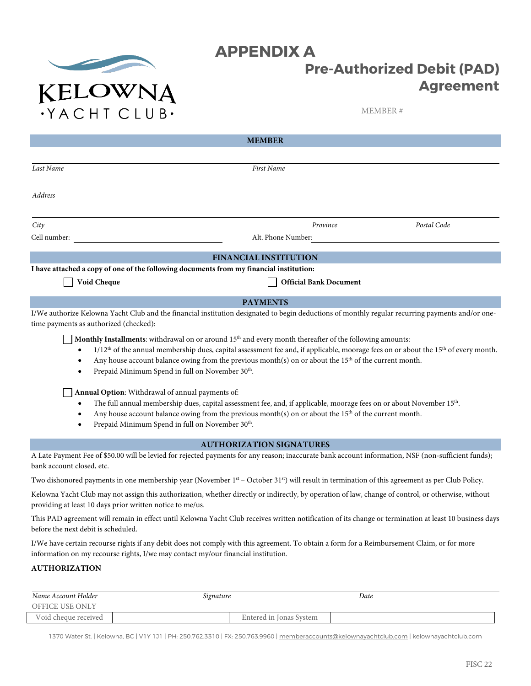

# **APPENDIX A Pre-Authorized Debit (PAD) Agreement**

MEMBER #

| <b>MEMBER</b>                                                                           |                                                                                                                                                                                                                                                                                                                                                                                                |             |
|-----------------------------------------------------------------------------------------|------------------------------------------------------------------------------------------------------------------------------------------------------------------------------------------------------------------------------------------------------------------------------------------------------------------------------------------------------------------------------------------------|-------------|
|                                                                                         |                                                                                                                                                                                                                                                                                                                                                                                                |             |
| Last Name                                                                               | First Name                                                                                                                                                                                                                                                                                                                                                                                     |             |
| <b>Address</b>                                                                          |                                                                                                                                                                                                                                                                                                                                                                                                |             |
| City                                                                                    | Province                                                                                                                                                                                                                                                                                                                                                                                       | Postal Code |
| Cell number:                                                                            | Alt. Phone Number:                                                                                                                                                                                                                                                                                                                                                                             |             |
|                                                                                         | <b>FINANCIAL INSTITUTION</b>                                                                                                                                                                                                                                                                                                                                                                   |             |
| I have attached a copy of one of the following documents from my financial institution: |                                                                                                                                                                                                                                                                                                                                                                                                |             |
| Void Cheque                                                                             | <b>Official Bank Document</b>                                                                                                                                                                                                                                                                                                                                                                  |             |
|                                                                                         | <b>PAYMENTS</b>                                                                                                                                                                                                                                                                                                                                                                                |             |
| time payments as authorized (checked):                                                  | I/We authorize Kelowna Yacht Club and the financial institution designated to begin deductions of monthly regular recurring payments and/or one-                                                                                                                                                                                                                                               |             |
|                                                                                         | Monthly Installments: withdrawal on or around 15 <sup>th</sup> and every month thereafter of the following amounts:<br>$1/12$ <sup>th</sup> of the annual membership dues, capital assessment fee and, if applicable, moorage fees on or about the 15 <sup>th</sup> of every month.<br>Any house account balance owing from the previous month(s) on or about the $15th$ of the current month. |             |

Prepaid Minimum Spend in full on November 30<sup>th</sup>.

**Annual Option**: Withdrawal of annual payments of:

- The full annual membership dues, capital assessment fee, and, if applicable, moorage fees on or about November 15<sup>th</sup>.
- Any house account balance owing from the previous month(s) on or about the 15<sup>th</sup> of the current month.
- Prepaid Minimum Spend in full on November 30<sup>th</sup>.

### **AUTHORIZATION SIGNATURES**

A Late Payment Fee of \$50.00 will be levied for rejected payments for any reason; inaccurate bank account information, NSF (non-sufficient funds); bank account closed, etc.

Two dishonored payments in one membership year (November 1st – October 31st) will result in termination of this agreement as per Club Policy.

Kelowna Yacht Club may not assign this authorization, whether directly or indirectly, by operation of law, change of control, or otherwise, without providing at least 10 days prior written notice to me/us.

This PAD agreement will remain in effect until Kelowna Yacht Club receives written notification of its change or termination at least 10 business days before the next debit is scheduled.

I/We have certain recourse rights if any debit does not comply with this agreement. To obtain a form for a Reimbursement Claim, or for more information on my recourse rights, I/we may contact my/our financial institution.

### **AUTHORIZATION**

 $\lceil$ 

| Name Account Holder  | Signature               | Date |  |
|----------------------|-------------------------|------|--|
| OFFICE USE ONLY      |                         |      |  |
| Void cheque received | Entered in Jonas System |      |  |

1370 Water St. | Kelowna, BC | V1Y 1J1 | PH: 250.762.3310 | FX: 250.763.9960 | memberaccounts@kelownayachtclub.com | kelownayachtclub.com